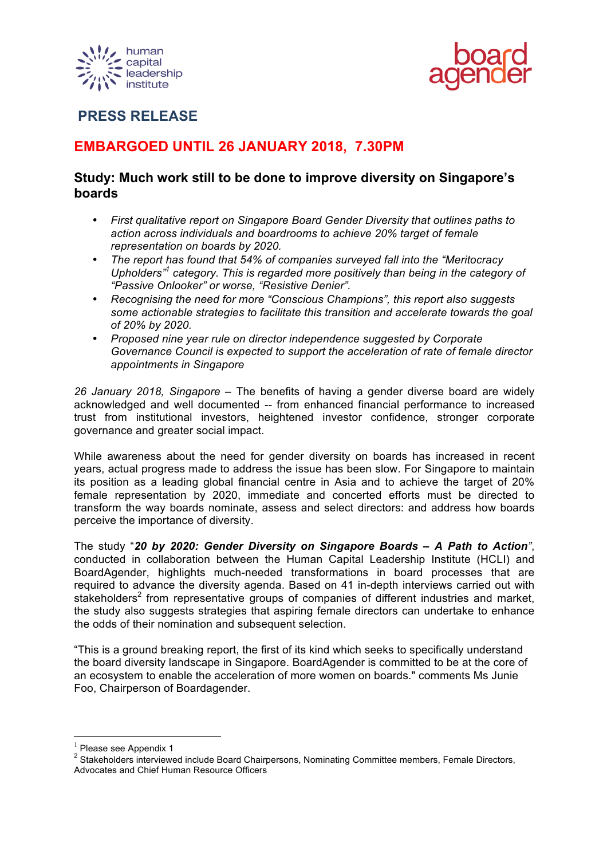



## **PRESS RELEASE**

# **EMBARGOED UNTIL 26 JANUARY 2018, 7.30PM**

## **Study: Much work still to be done to improve diversity on Singapore's boards**

- *First qualitative report on Singapore Board Gender Diversity that outlines paths to action across individuals and boardrooms to achieve 20% target of female representation on boards by 2020.*
- *The report has found that 54% of companies surveyed fall into the "Meritocracy Upholders" <sup>1</sup> category. This is regarded more positively than being in the category of "Passive Onlooker" or worse, "Resistive Denier".*
- *Recognising the need for more "Conscious Champions", this report also suggests some actionable strategies to facilitate this transition and accelerate towards the goal of 20% by 2020.*
- *Proposed nine year rule on director independence suggested by Corporate Governance Council is expected to support the acceleration of rate of female director appointments in Singapore*

*26 January 2018, Singapore –* The benefits of having a gender diverse board are widely acknowledged and well documented -- from enhanced financial performance to increased trust from institutional investors, heightened investor confidence, stronger corporate governance and greater social impact.

While awareness about the need for gender diversity on boards has increased in recent years, actual progress made to address the issue has been slow. For Singapore to maintain its position as a leading global financial centre in Asia and to achieve the target of 20% female representation by 2020, immediate and concerted efforts must be directed to transform the way boards nominate, assess and select directors: and address how boards perceive the importance of diversity.

The study "*20 by 2020: Gender Diversity on Singapore Boards – A Path to Action"*, conducted in collaboration between the Human Capital Leadership Institute (HCLI) and BoardAgender, highlights much-needed transformations in board processes that are required to advance the diversity agenda. Based on 41 in-depth interviews carried out with stakeholders<sup>2</sup> from representative groups of companies of different industries and market. the study also suggests strategies that aspiring female directors can undertake to enhance the odds of their nomination and subsequent selection.

"This is a ground breaking report, the first of its kind which seeks to specifically understand the board diversity landscape in Singapore. BoardAgender is committed to be at the core of an ecosystem to enable the acceleration of more women on boards." comments Ms Junie Foo, Chairperson of Boardagender.

 <sup>1</sup> Please see Appendix 1

<sup>&</sup>lt;sup>2</sup> Stakeholders interviewed include Board Chairpersons, Nominating Committee members, Female Directors, Advocates and Chief Human Resource Officers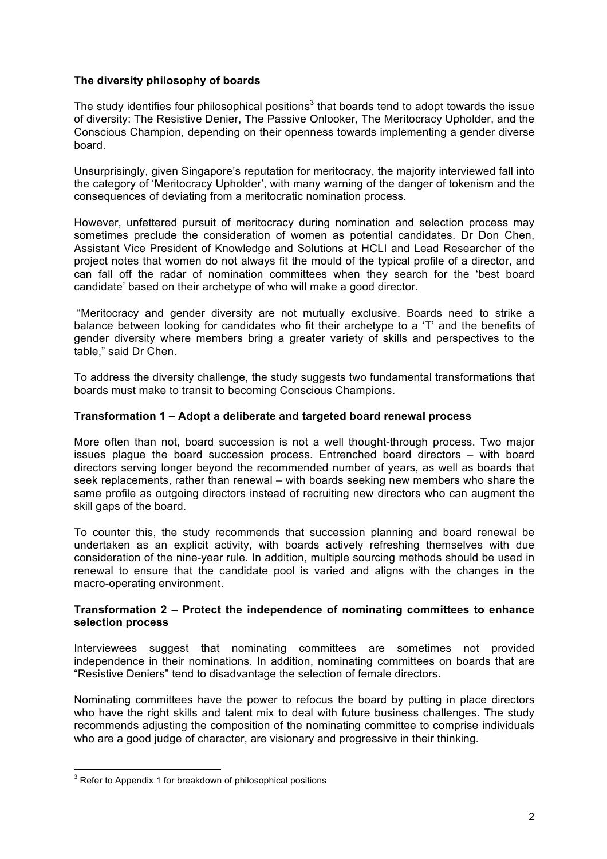### **The diversity philosophy of boards**

The study identifies four philosophical positions<sup>3</sup> that boards tend to adopt towards the issue of diversity: The Resistive Denier, The Passive Onlooker, The Meritocracy Upholder, and the Conscious Champion, depending on their openness towards implementing a gender diverse board.

Unsurprisingly, given Singapore's reputation for meritocracy, the majority interviewed fall into the category of 'Meritocracy Upholder', with many warning of the danger of tokenism and the consequences of deviating from a meritocratic nomination process.

However, unfettered pursuit of meritocracy during nomination and selection process may sometimes preclude the consideration of women as potential candidates. Dr Don Chen, Assistant Vice President of Knowledge and Solutions at HCLI and Lead Researcher of the project notes that women do not always fit the mould of the typical profile of a director, and can fall off the radar of nomination committees when they search for the 'best board candidate' based on their archetype of who will make a good director.

"Meritocracy and gender diversity are not mutually exclusive. Boards need to strike a balance between looking for candidates who fit their archetype to a 'T' and the benefits of gender diversity where members bring a greater variety of skills and perspectives to the table," said Dr Chen.

To address the diversity challenge, the study suggests two fundamental transformations that boards must make to transit to becoming Conscious Champions.

#### **Transformation 1 – Adopt a deliberate and targeted board renewal process**

More often than not, board succession is not a well thought-through process. Two major issues plague the board succession process. Entrenched board directors – with board directors serving longer beyond the recommended number of years, as well as boards that seek replacements, rather than renewal – with boards seeking new members who share the same profile as outgoing directors instead of recruiting new directors who can augment the skill gaps of the board.

To counter this, the study recommends that succession planning and board renewal be undertaken as an explicit activity, with boards actively refreshing themselves with due consideration of the nine-year rule. In addition, multiple sourcing methods should be used in renewal to ensure that the candidate pool is varied and aligns with the changes in the macro-operating environment.

#### **Transformation 2 – Protect the independence of nominating committees to enhance selection process**

Interviewees suggest that nominating committees are sometimes not provided independence in their nominations. In addition, nominating committees on boards that are "Resistive Deniers" tend to disadvantage the selection of female directors.

Nominating committees have the power to refocus the board by putting in place directors who have the right skills and talent mix to deal with future business challenges. The study recommends adjusting the composition of the nominating committee to comprise individuals who are a good judge of character, are visionary and progressive in their thinking.

 $3$  Refer to Appendix 1 for breakdown of philosophical positions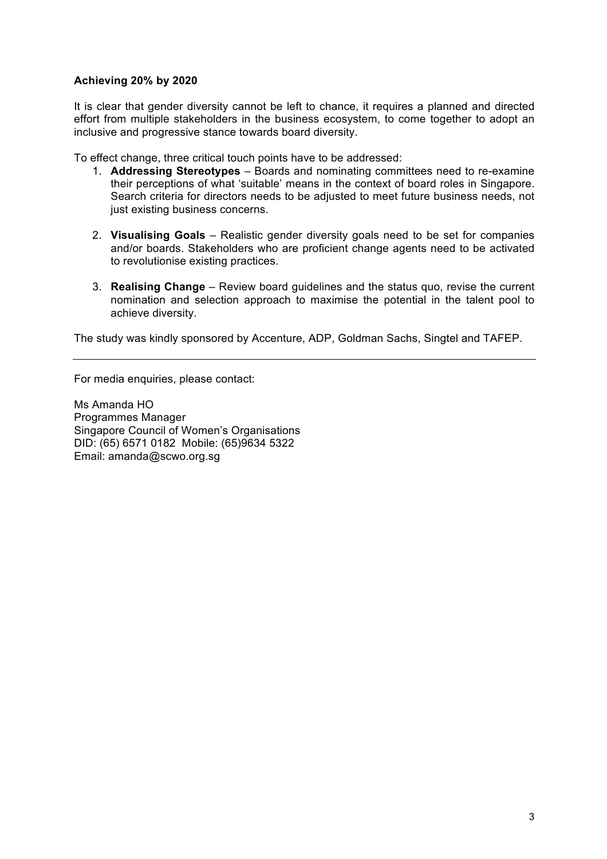## **Achieving 20% by 2020**

It is clear that gender diversity cannot be left to chance, it requires a planned and directed effort from multiple stakeholders in the business ecosystem, to come together to adopt an inclusive and progressive stance towards board diversity.

To effect change, three critical touch points have to be addressed:

- 1. **Addressing Stereotypes** Boards and nominating committees need to re-examine their perceptions of what 'suitable' means in the context of board roles in Singapore. Search criteria for directors needs to be adjusted to meet future business needs, not just existing business concerns.
- 2. **Visualising Goals** Realistic gender diversity goals need to be set for companies and/or boards. Stakeholders who are proficient change agents need to be activated to revolutionise existing practices.
- 3. **Realising Change** Review board guidelines and the status quo, revise the current nomination and selection approach to maximise the potential in the talent pool to achieve diversity.

The study was kindly sponsored by Accenture, ADP, Goldman Sachs, Singtel and TAFEP.

For media enquiries, please contact:

Ms Amanda HO Programmes Manager Singapore Council of Women's Organisations DID: (65) 6571 0182 Mobile: (65)9634 5322 Email: amanda@scwo.org.sg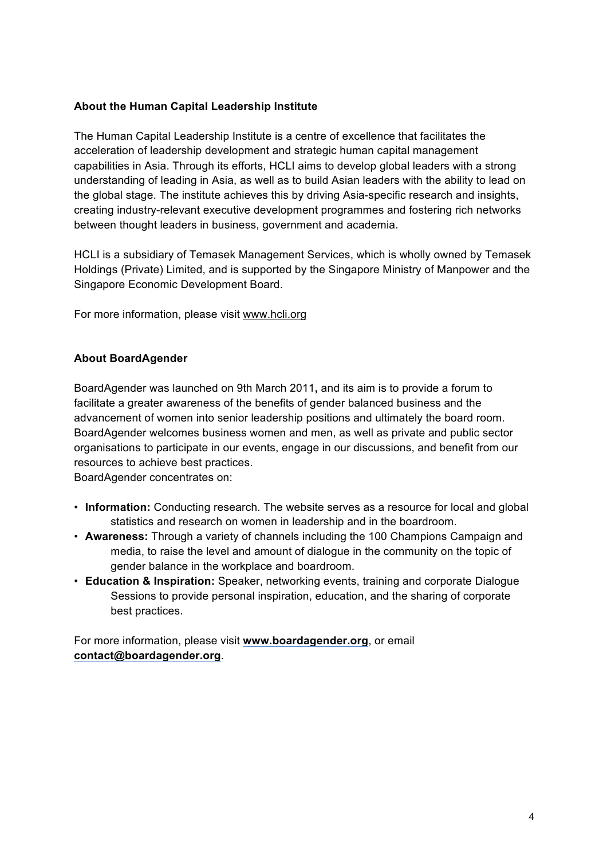## **About the Human Capital Leadership Institute**

The Human Capital Leadership Institute is a centre of excellence that facilitates the acceleration of leadership development and strategic human capital management capabilities in Asia. Through its efforts, HCLI aims to develop global leaders with a strong understanding of leading in Asia, as well as to build Asian leaders with the ability to lead on the global stage. The institute achieves this by driving Asia-specific research and insights, creating industry-relevant executive development programmes and fostering rich networks between thought leaders in business, government and academia.

HCLI is a subsidiary of Temasek Management Services, which is wholly owned by Temasek Holdings (Private) Limited, and is supported by the Singapore Ministry of Manpower and the Singapore Economic Development Board.

For more information, please visit www.hcli.org

### **About BoardAgender**

BoardAgender was launched on 9th March 2011**,** and its aim is to provide a forum to facilitate a greater awareness of the benefits of gender balanced business and the advancement of women into senior leadership positions and ultimately the board room. BoardAgender welcomes business women and men, as well as private and public sector organisations to participate in our events, engage in our discussions, and benefit from our resources to achieve best practices.

BoardAgender concentrates on:

- **Information:** Conducting research. The website serves as a resource for local and global statistics and research on women in leadership and in the boardroom.
- **Awareness:** Through a variety of channels including the 100 Champions Campaign and media, to raise the level and amount of dialogue in the community on the topic of gender balance in the workplace and boardroom.
- **Education & Inspiration:** Speaker, networking events, training and corporate Dialogue Sessions to provide personal inspiration, education, and the sharing of corporate best practices.

For more information, please visit **www.boardagender.org**, or email **contact@boardagender.org**.